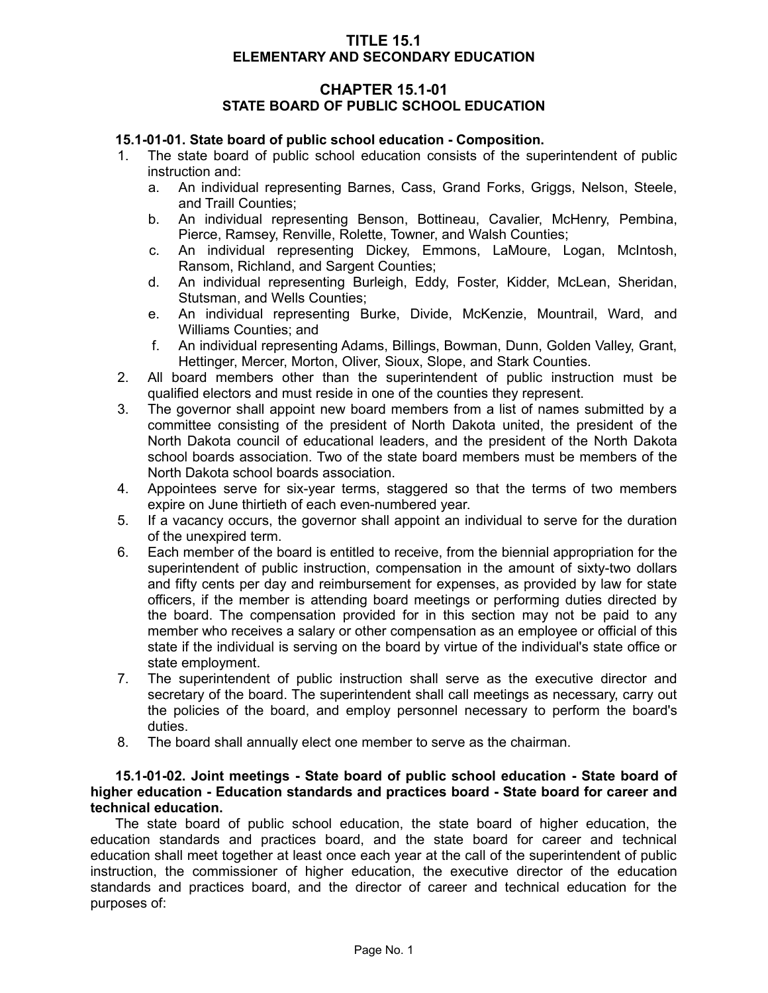### **TITLE 15.1 ELEMENTARY AND SECONDARY EDUCATION**

# **CHAPTER 15.1-01 STATE BOARD OF PUBLIC SCHOOL EDUCATION**

#### **15.1-01-01. State board of public school education - Composition.**

- 1. The state board of public school education consists of the superintendent of public instruction and:
	- a. An individual representing Barnes, Cass, Grand Forks, Griggs, Nelson, Steele, and Traill Counties;
	- b. An individual representing Benson, Bottineau, Cavalier, McHenry, Pembina, Pierce, Ramsey, Renville, Rolette, Towner, and Walsh Counties;
	- c. An individual representing Dickey, Emmons, LaMoure, Logan, McIntosh, Ransom, Richland, and Sargent Counties;
	- d. An individual representing Burleigh, Eddy, Foster, Kidder, McLean, Sheridan, Stutsman, and Wells Counties;
	- e. An individual representing Burke, Divide, McKenzie, Mountrail, Ward, and Williams Counties; and
	- f. An individual representing Adams, Billings, Bowman, Dunn, Golden Valley, Grant, Hettinger, Mercer, Morton, Oliver, Sioux, Slope, and Stark Counties.
- 2. All board members other than the superintendent of public instruction must be qualified electors and must reside in one of the counties they represent.
- 3. The governor shall appoint new board members from a list of names submitted by a committee consisting of the president of North Dakota united, the president of the North Dakota council of educational leaders, and the president of the North Dakota school boards association. Two of the state board members must be members of the North Dakota school boards association.
- 4. Appointees serve for six-year terms, staggered so that the terms of two members expire on June thirtieth of each even-numbered year.
- 5. If a vacancy occurs, the governor shall appoint an individual to serve for the duration of the unexpired term.
- 6. Each member of the board is entitled to receive, from the biennial appropriation for the superintendent of public instruction, compensation in the amount of sixty-two dollars and fifty cents per day and reimbursement for expenses, as provided by law for state officers, if the member is attending board meetings or performing duties directed by the board. The compensation provided for in this section may not be paid to any member who receives a salary or other compensation as an employee or official of this state if the individual is serving on the board by virtue of the individual's state office or state employment.
- 7. The superintendent of public instruction shall serve as the executive director and secretary of the board. The superintendent shall call meetings as necessary, carry out the policies of the board, and employ personnel necessary to perform the board's duties.
- 8. The board shall annually elect one member to serve as the chairman.

#### **15.1-01-02. Joint meetings - State board of public school education - State board of higher education - Education standards and practices board - State board for career and technical education.**

The state board of public school education, the state board of higher education, the education standards and practices board, and the state board for career and technical education shall meet together at least once each year at the call of the superintendent of public instruction, the commissioner of higher education, the executive director of the education standards and practices board, and the director of career and technical education for the purposes of: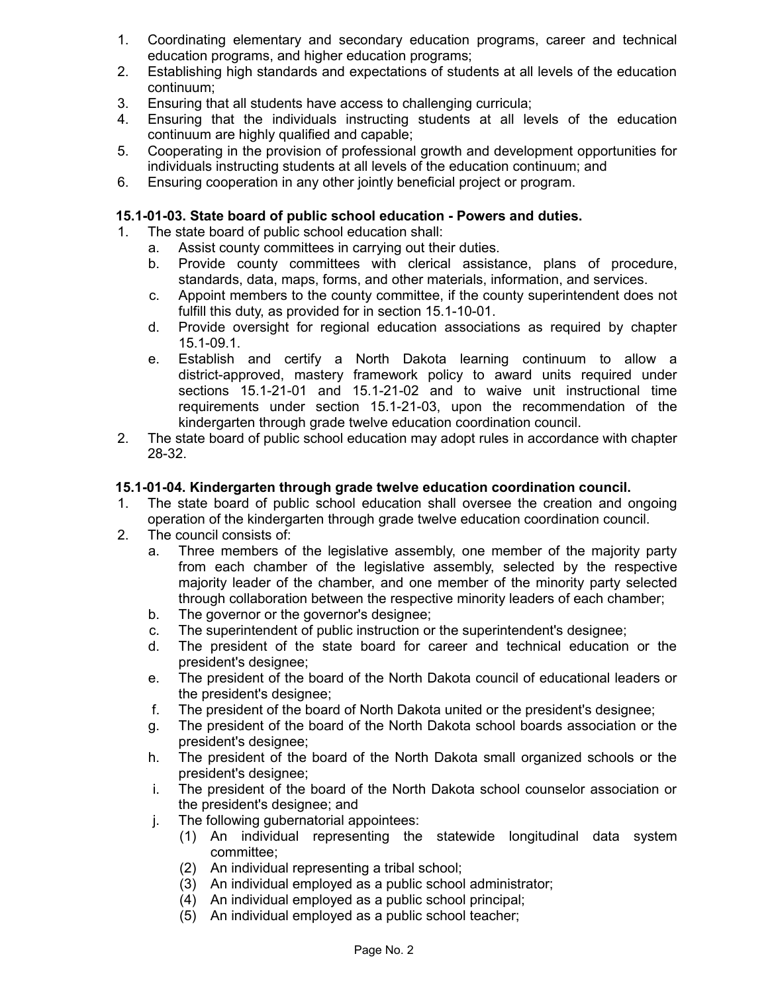- 1. Coordinating elementary and secondary education programs, career and technical education programs, and higher education programs;
- 2. Establishing high standards and expectations of students at all levels of the education continuum;
- 3. Ensuring that all students have access to challenging curricula;
- 4. Ensuring that the individuals instructing students at all levels of the education continuum are highly qualified and capable;
- 5. Cooperating in the provision of professional growth and development opportunities for individuals instructing students at all levels of the education continuum; and
- 6. Ensuring cooperation in any other jointly beneficial project or program.

# **15.1-01-03. State board of public school education - Powers and duties.**

- 1. The state board of public school education shall:
	- a. Assist county committees in carrying out their duties.
	- b. Provide county committees with clerical assistance, plans of procedure, standards, data, maps, forms, and other materials, information, and services.
	- c. Appoint members to the county committee, if the county superintendent does not fulfill this duty, as provided for in section 15.1-10-01.
	- d. Provide oversight for regional education associations as required by chapter 15.1-09.1.
	- e. Establish and certify a North Dakota learning continuum to allow a district-approved, mastery framework policy to award units required under sections 15.1-21-01 and 15.1-21-02 and to waive unit instructional time requirements under section 15.1-21-03, upon the recommendation of the kindergarten through grade twelve education coordination council.
- 2. The state board of public school education may adopt rules in accordance with chapter 28-32.

### **15.1-01-04. Kindergarten through grade twelve education coordination council.**

- 1. The state board of public school education shall oversee the creation and ongoing operation of the kindergarten through grade twelve education coordination council.
- 2. The council consists of:
	- a. Three members of the legislative assembly, one member of the majority party from each chamber of the legislative assembly, selected by the respective majority leader of the chamber, and one member of the minority party selected through collaboration between the respective minority leaders of each chamber;
	- b. The governor or the governor's designee;
	- c. The superintendent of public instruction or the superintendent's designee;
	- d. The president of the state board for career and technical education or the president's designee;
	- e. The president of the board of the North Dakota council of educational leaders or the president's designee;
	- f. The president of the board of North Dakota united or the president's designee;
	- g. The president of the board of the North Dakota school boards association or the president's designee;
	- h. The president of the board of the North Dakota small organized schools or the president's designee;
	- i. The president of the board of the North Dakota school counselor association or the president's designee; and
	- j. The following gubernatorial appointees:
		- (1) An individual representing the statewide longitudinal data system committee;
		- (2) An individual representing a tribal school;
		- (3) An individual employed as a public school administrator;
		- (4) An individual employed as a public school principal;
		- (5) An individual employed as a public school teacher;